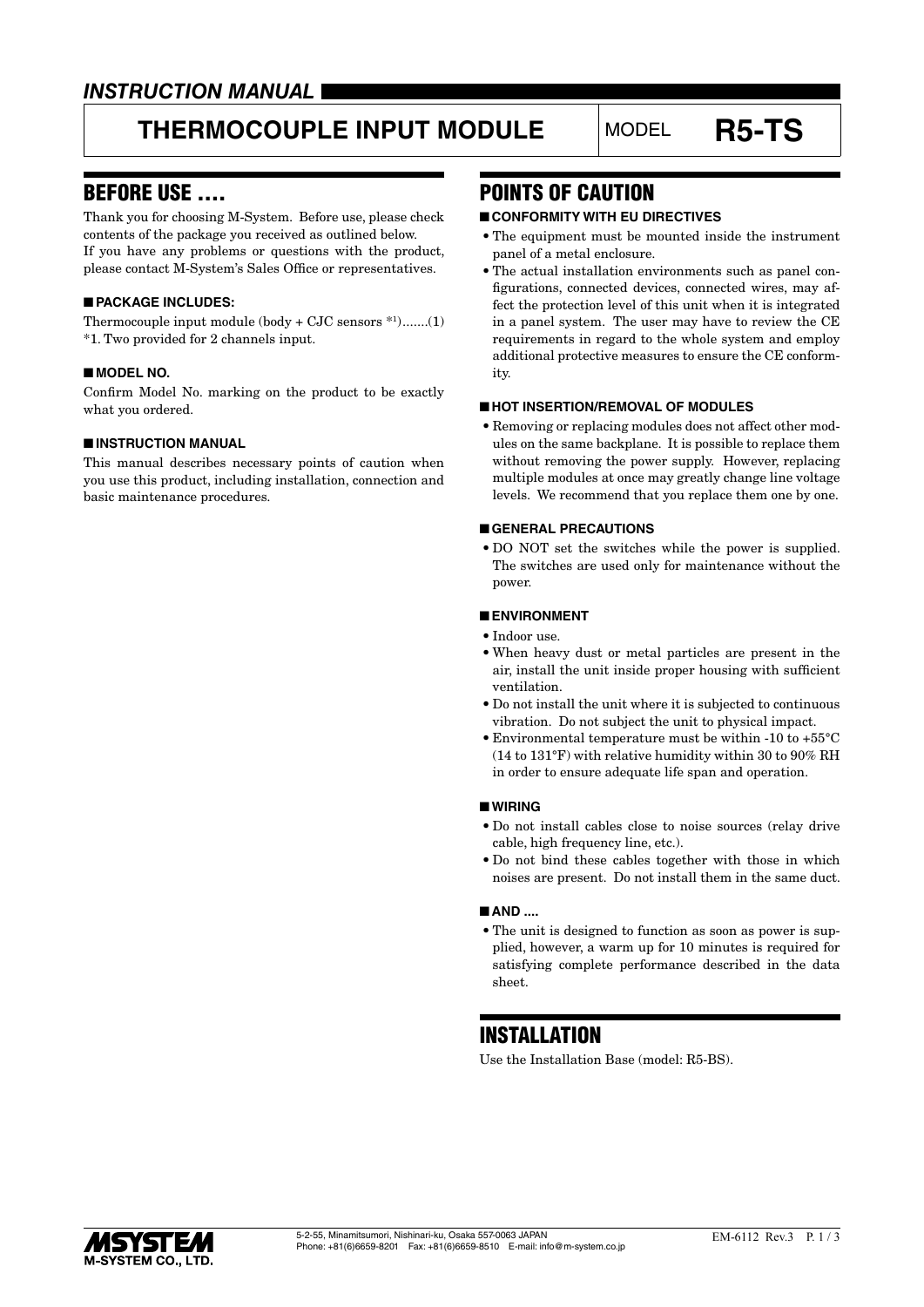# **THERMOCOUPLE INPUT MODULE** MODEL **R5-TS**

### BEFORE USE ....

Thank you for choosing M-System. Before use, please check contents of the package you received as outlined below. If you have any problems or questions with the product, please contact M-System's Sales Office or representatives.

#### ■ **PACKAGE INCLUDES:**

Thermocouple input module (body + CJC sensors \*1 ).......(1) \*1. Two provided for 2 channels input.

#### ■ **MODEL NO.**

Confirm Model No. marking on the product to be exactly what you ordered.

#### ■ **INSTRUCTION MANUAL**

This manual describes necessary points of caution when you use this product, including installation, connection and basic maintenance procedures.

### POINTS OF CAUTION

#### ■ **CONFORMITY WITH EU DIRECTIVES**

- The equipment must be mounted inside the instrument panel of a metal enclosure.
- The actual installation environments such as panel configurations, connected devices, connected wires, may affect the protection level of this unit when it is integrated in a panel system. The user may have to review the CE requirements in regard to the whole system and employ additional protective measures to ensure the CE conformity.

#### ■ **HOT INSERTION/REMOVAL OF MODULES**

• Removing or replacing modules does not affect other modules on the same backplane. It is possible to replace them without removing the power supply. However, replacing multiple modules at once may greatly change line voltage levels. We recommend that you replace them one by one.

#### ■ **GENERAL PRECAUTIONS**

• DO NOT set the switches while the power is supplied. The switches are used only for maintenance without the power.

#### ■ **ENVIRONMENT**

- Indoor use.
- When heavy dust or metal particles are present in the air, install the unit inside proper housing with sufficient ventilation.
- Do not install the unit where it is subjected to continuous vibration. Do not subject the unit to physical impact.
- Environmental temperature must be within -10 to +55°C (14 to 131°F) with relative humidity within 30 to 90% RH in order to ensure adequate life span and operation.

#### ■ **WIRING**

- Do not install cables close to noise sources (relay drive cable, high frequency line, etc.).
- Do not bind these cables together with those in which noises are present. Do not install them in the same duct.

#### ■ **AND** ....

• The unit is designed to function as soon as power is supplied, however, a warm up for 10 minutes is required for satisfying complete performance described in the data sheet.

### **INSTALLATION**

Use the Installation Base (model: R5-BS).

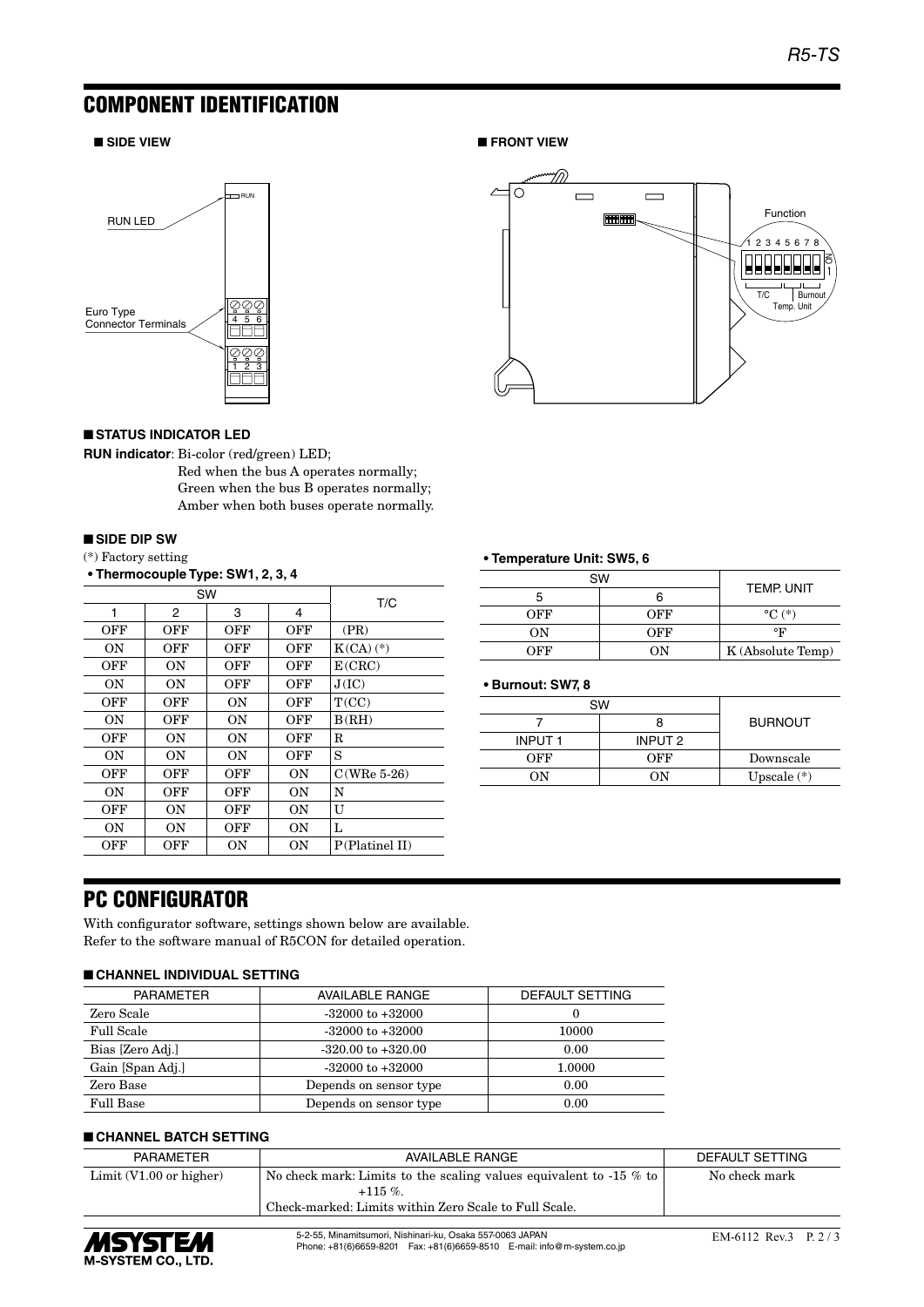## COMPONENT IDENTIFICATION

#### ■ **SIDE VIEW** ■ FRONT VIEW



#### ■ **STATUS INDICATOR LED**

**RUN indicator**: Bi-color (red/green) LED;

Red when the bus A operates normally; Green when the bus B operates normally; Amber when both buses operate normally.

#### ■ **SIDE DIP SW**

(\*) Factory setting

**• Thermocouple Type: SW1, 2, 3, 4**

| SW        |     |           |           | T/C            |  |
|-----------|-----|-----------|-----------|----------------|--|
| 1         | 2   | 3         | 4         |                |  |
| OFF       | OFF | OFF       | OFF       | (PR)           |  |
| OΝ        | OFF | OFF       | OFF       | $K(CA)$ $(*)$  |  |
| OFF       | ON  | OFF       | OFF       | E(CRC)         |  |
| ΟN        | 0N  | OFF       | OFF       | J(IC)          |  |
| OFF       | OFF | 0N        | OFF       | T(CC)          |  |
| <b>ON</b> | OFF | <b>ON</b> | OFF       | B(RH)          |  |
| OFF       | 0N  | 0N        | OFF       | R              |  |
| <b>ON</b> | 0N  | <b>ON</b> | OFF       | S              |  |
| OFF       | OFF | OFF       | 0N        | $C(WRe 5-26)$  |  |
| 0N        | OFF | OFF       | <b>ON</b> | N              |  |
| OFF       | 0N  | OFF       | 0N        | U              |  |
| <b>ON</b> | 0N  | OFF       | 0N        | L              |  |
| OFF       | OFF | 0N        | 0N        | P(Platinel II) |  |



#### **• Temperature Unit: SW5, 6**

| <b>SW</b> | <b>TEMP, UNIT</b> |                    |  |
|-----------|-------------------|--------------------|--|
|           |                   |                    |  |
| OFF       | OFF               | $^{\circ}$ C $(*)$ |  |
| OΝ        | OFF               | ۰F                 |  |
| OFF       | OΝ                | K (Absolute Temp)  |  |

#### **• Burnout: SW7, 8**

| SW            |         |                |
|---------------|---------|----------------|
|               |         | <b>BURNOUT</b> |
| <b>INPUT1</b> | INPUT 2 |                |
| OFF           | OFF     | Downscale      |
| OΝ            | ΩN      | Upscale $(*)$  |

### PC CONFIGURATOR

With configurator software, settings shown below are available. Refer to the software manual of R5CON for detailed operation.

#### ■ **CHANNEL INDIVIDUAL SETTING**

| <b>PARAMETER</b>  | <b>AVAILABLE RANGE</b> | DEFAULT SETTING |  |
|-------------------|------------------------|-----------------|--|
| Zero Scale        | $-32000$ to $+32000$   | 0               |  |
| <b>Full Scale</b> | $-32000$ to $+32000$   | 10000           |  |
| Bias [Zero Adj.]  | $-320.00$ to $+320.00$ | 0.00            |  |
| Gain [Span Adj.]  | $-32000$ to $+32000$   | 1.0000          |  |
| Zero Base         | Depends on sensor type | 0.00            |  |
| <b>Full Base</b>  | Depends on sensor type | 0.00            |  |

#### ■ **CHANNEL BATCH SETTING**

| PARAMETER                         | AVAILABLE RANGE                                                       | DEFAULT SETTING |
|-----------------------------------|-----------------------------------------------------------------------|-----------------|
| Limit $(V1.00 \text{ or higher})$ | No check mark: Limits to the scaling values equivalent to -15 $\%$ to | No check mark   |
|                                   | $+115\%$                                                              |                 |
|                                   | Check-marked: Limits within Zero Scale to Full Scale.                 |                 |